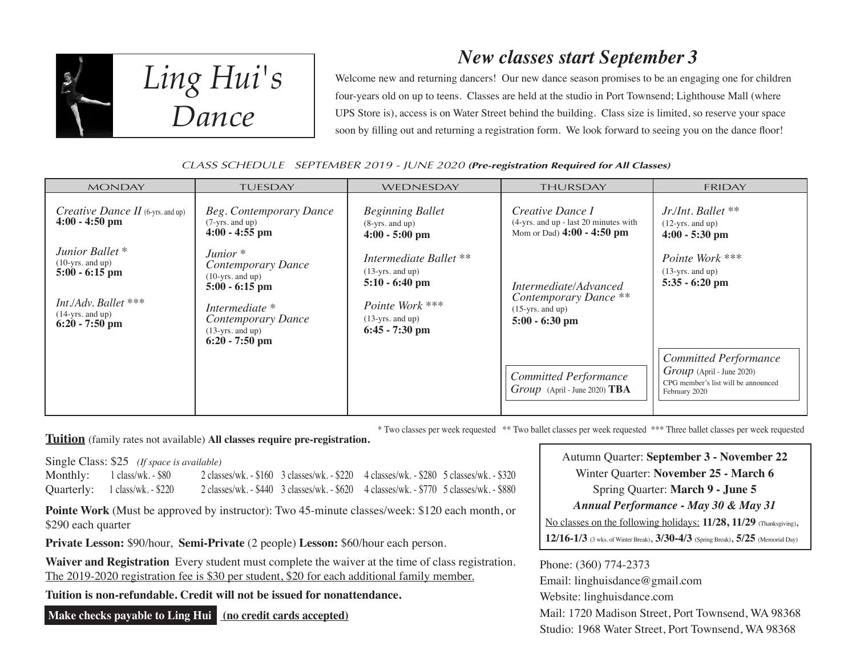

*Ling Hui's Dance*

# *New classes start September 3*

Welcome new and returning dancers! Our new dance season promises to be an engaging one for children four-years old on up to teens. Classes are held at the studio in Port Townsend; Lighthouse Mall (where UPS Store is), access is on Water Street behind the building. Class size is limited, so reserve your space soon by filling out and returning a registration form. We look forward to seeing you on the dance floor!

# CLASS SCHEDULE SEPTEMBER 2019 - JUNE 2020 **(Pre-registration Required for All Classes)**

| <b>MONDAY</b>                                                                                                                                   | <b>TUESDAY</b>                                                                                                                                               | WEDNESDAY                                                                                                                     | <b>THURSDAY</b>                                                                           | <b>FRIDAY</b>                                                                                                       |
|-------------------------------------------------------------------------------------------------------------------------------------------------|--------------------------------------------------------------------------------------------------------------------------------------------------------------|-------------------------------------------------------------------------------------------------------------------------------|-------------------------------------------------------------------------------------------|---------------------------------------------------------------------------------------------------------------------|
| <i>Creative Dance II</i> (6-yrs. and up)<br>$4:00 - 4:50$ pm                                                                                    | Beg. Contemporary Dance<br>$(7-yrs.$ and up)<br>$4:00 - 4:55$ pm                                                                                             | <b>Beginning Ballet</b><br>$(8 - yrs.$ and up)<br>$4:00 - 5:00$ pm                                                            | Creative Dance I<br>(4-yrs. and up - last 20 minutes with<br>Mom or Dad) $4:00 - 4:50$ pm | Jr./Int. Ballet **<br>$(12-yrs.$ and up)<br>$4:00 - 5:30$ pm                                                        |
| Junior Ballet <sup>*</sup><br>$(10\text{-yrs.}$ and up)<br>$5:00 - 6:15$ pm<br>Int./Adv. Ballet ***<br>$(14 - yrs. and up)$<br>$6:20 - 7:50$ pm | Junior $*$<br>Contemporary Dance<br>$(10-yrs.$ and up)<br>$5:00 - 6:15$ pm<br>Intermediate *<br>Contemporary Dance<br>$(13-yrs.$ and up)<br>$6:20 - 7:50$ pm | Intermediate Ballet **<br>$(13-yrs.$ and up)<br>$5:10 - 6:40$ pm<br>Pointe Work ***<br>$(13-yrs.$ and up)<br>$6:45 - 7:30$ pm | Intermediate/Advanced<br>Contemporary Dance **<br>$(15-yrs.$ and up)<br>$5:00 - 6:30$ pm  | Pointe Work ***<br>$(13-yrs. and up)$<br>$5:35 - 6:20$ pm                                                           |
|                                                                                                                                                 |                                                                                                                                                              |                                                                                                                               | <b>Committed Performance</b><br>$Group$ (April - June 2020) TBA                           | <b>Committed Performance</b><br>$Group$ (April - June 2020)<br>CPG member's list will be announced<br>February 2020 |

\* Two classes per week requested \*\* Two ballet classes per week requested \*\*\* Three ballet classes per week requested

**Tuition** (family rates not available) **All classes require pre-registration.**

Single Class: \$25 *(If space is available)*

| <b>Monthly:</b> 1 class/wk. - \$80 | 2 classes/wk. - \$160 3 classes/wk. - \$220 4 classes/wk. - \$280 5 classes/wk. - \$320 |  |
|------------------------------------|-----------------------------------------------------------------------------------------|--|
| Quarterly: 1 class/wk. - \$220     | 2 classes/wk. - \$440 3 classes/wk. - \$620 4 classes/wk. - \$770 5 classes/wk. - \$880 |  |

**Pointe Work** (Must be approved by instructor): Two 45-minute classes/week: \$120 each month, or \$290 each quarter

**Private Lesson:** \$90/hour, **Semi-Private** (2 people) **Lesson:** \$60/hour each person.

Waiver and Registration Every student must complete the waiver at the time of class registration. The 2019-2020 registration fee is \$30 per student, \$20 for each additional family member.

**Tuition is non-refundable. Credit will not be issued for nonattendance.**

 **Make checks payable to Ling Hui (no credit cards accepted)**

Autumn Quarter: **September 3 - November 22** Winter Quarter: **November 25 - March 6** Spring Quarter: **March 9 - June 5** *Annual Performance - May 30 & May 31* No classes on the following holidays: **11/28, 11/29** (Thanksgiving), **12/16-1/3** (3 wks. of Winter Break), **3/30-4/3** (Spring Break), **5/25** (Memorial Day)

Phone: (360) 774-2373 Email: linghuisdance@gmail.com Website: linghuisdance.com Mail: 1720 Madison Street, Port Townsend, WA 98368 Studio: 1968 Water Street, Port Townsend, WA 98368